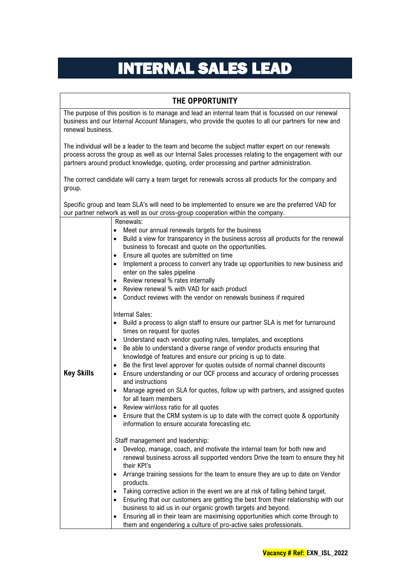## INTERNAL SALES LEAD

## **THE OPPORTUNITY**

The purpose of this position is to manage and lead an internal team that is focussed on our renewal business and our Internal Account Managers, who provide the quotes to all our partners for new and renewal business.

The individual will be a leader to the team and become the subject matter expert on our renewals process across the group as well as our Internal Sales processes relating to the engagement with our partners around product knowledge, quoting, order processing and partner administration.

The correct candidate will carry a team target for renewals across all products for the company and group.

Specific group and team SLA's will need to be implemented to ensure we are the preferred VAD for our partner network as well as our cross-group cooperation within the company.

|                   | Renewals:                                                                                                                  |
|-------------------|----------------------------------------------------------------------------------------------------------------------------|
|                   | Meet our annual renewals targets for the business                                                                          |
|                   | Build a view for transparency in the business across all products for the renewal<br>$\bullet$                             |
|                   | business to forecast and quote on the opportunities.                                                                       |
|                   |                                                                                                                            |
|                   | Ensure all quotes are submitted on time<br>$\bullet$                                                                       |
|                   | Implement a process to convert any trade up opportunities to new business and<br>$\bullet$                                 |
|                   | enter on the sales pipeline                                                                                                |
|                   | Review renewal % rates internally<br>$\bullet$                                                                             |
|                   | Review renewal % with VAD for each product<br>$\bullet$                                                                    |
|                   | Conduct reviews with the vendor on renewals business if required<br>$\bullet$                                              |
|                   | <b>Internal Sales:</b>                                                                                                     |
|                   |                                                                                                                            |
|                   | Build a process to align staff to ensure our partner SLA is met for turnaround<br>$\bullet$<br>times on request for quotes |
|                   | Understand each vendor quoting rules, templates, and exceptions<br>$\bullet$                                               |
|                   | Be able to understand a diverse range of vendor products ensuring that                                                     |
|                   | knowledge of features and ensure our pricing is up to date.                                                                |
|                   | Be the first level approver for quotes outside of normal channel discounts                                                 |
| <b>Key Skills</b> | Ensure understanding or our OCF process and accuracy of ordering processes<br>$\bullet$                                    |
|                   | and instructions                                                                                                           |
|                   | Manage agreed on SLA for quotes, follow up with partners, and assigned quotes                                              |
|                   | for all team members                                                                                                       |
|                   | Review win\loss ratio for all quotes                                                                                       |
|                   | Ensure that the CRM system is up to date with the correct quote & opportunity                                              |
|                   | information to ensure accurate forecasting etc.                                                                            |
|                   |                                                                                                                            |
|                   | Staff management and leadership:                                                                                           |
|                   | Develop, manage, coach, and motivate the internal team for both new and                                                    |
|                   | renewal business across all supported vendors Drive the team to ensure they hit<br>their KPI's                             |
|                   | Arrange training sessions for the team to ensure they are up to date on Vendor                                             |
|                   | products.                                                                                                                  |
|                   | Taking corrective action in the event we are at risk of falling behind target.                                             |
|                   | Ensuring that our customers are getting the best from their relationship with our                                          |
|                   | business to aid us in our organic growth targets and beyond.                                                               |
|                   | Ensuring all in their team are maximising opportunities which come through to                                              |
|                   | them and engendering a culture of pro-active sales professionals.                                                          |